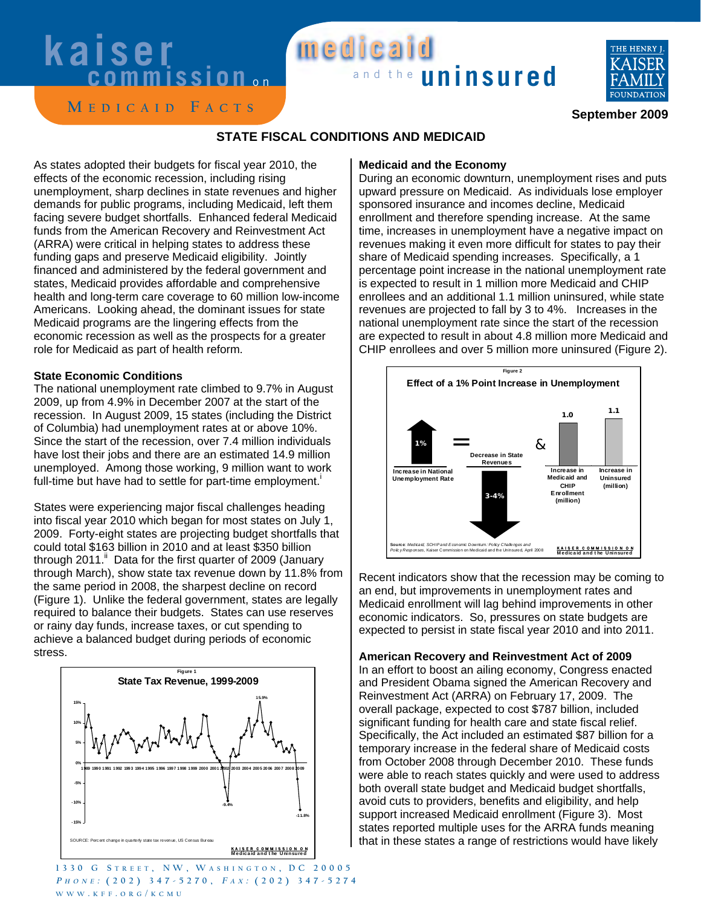## **kaiser medicaid kaiser medicaid**



**M EDICAID F ACTS**

### **September 2009**

#### **STATE FISCAL CONDITIONS AND MEDICAID**

As states adopted their budgets for fiscal year 2010, the effects of the economic recession, including rising unemployment, sharp declines in state revenues and higher demands for public programs, including Medicaid, left them facing severe budget shortfalls. Enhanced federal Medicaid funds from the American Recovery and Reinvestment Act (ARRA) were critical in helping states to address these funding gaps and preserve Medicaid eligibility. Jointly financed and administered by the federal government and states, Medicaid provides affordable and comprehensive health and long-term care coverage to 60 million low-income Americans. Looking ahead, the dominant issues for state Medicaid programs are the lingering effects from the economic recession as well as the prospects for a greater role for Medicaid as part of health reform.

#### **State Economic Conditions**

The national unemployment rate climbed to 9.7% in August 2009, up from 4.9% in December 2007 at the start of the recession. In August 2009, 15 states (including the District of Columbia) had unemployment rates at or above 10%. Since the start of the recession, over 7.4 million individuals have lost their jobs and there are an estimated 14.9 million unemployed. Among those working, 9 million want to work full-time but have had to settle for part-time employment.<sup>1</sup>

States were experiencing major fiscal challenges heading into fiscal year 2010 which began for most states on July 1, 2009. Forty-eight states are projecting budget shortfalls that could total \$163 billion in 2010 and at least \$350 billion through 2011. Data for the first quarter of 2009 (January through March), show state tax revenue down by 11.8% from the same period in 2008, the sharpest decline on record (Figure 1). Unlike the federal government, states are legally required to balance their budgets. States can use reserves or rainy day funds, increase taxes, or cut spending to achieve a balanced budget during periods of economic stress.



**1330 G S TREET , NW, W ASHINGTON , DC 20005 <sup>P</sup> HONE : (202) 347-5270, <sup>F</sup> <sup>A</sup> <sup>X</sup> : (202) 347-5274 WWW . KFF . ORG / KCMU**

#### **Medicaid and the Economy**

During an economic downturn, unemployment rises and puts upward pressure on Medicaid. As individuals lose employer sponsored insurance and incomes decline, Medicaid enrollment and therefore spending increase. At the same time, increases in unemployment have a negative impact on revenues making it even more difficult for states to pay their share of Medicaid spending increases. Specifically, a 1 percentage point increase in the national unemployment rate is expected to result in 1 million more Medicaid and CHIP enrollees and an additional 1.1 million uninsured, while state revenues are projected to fall by 3 to 4%. Increases in the national unemployment rate since the start of the recession are expected to result in about 4.8 million more Medicaid and CHIP enrollees and over 5 million more uninsured (Figure 2).



Recent indicators show that the recession may be coming to an end, but improvements in unemployment rates and Medicaid enrollment will lag behind improvements in other economic indicators. So, pressures on state budgets are expected to persist in state fiscal year 2010 and into 2011.

#### **American Recovery and Reinvestment Act of 2009**

In an effort to boost an ailing economy, Congress enacted and President Obama signed the American Recovery and Reinvestment Act (ARRA) on February 17, 2009. The overall package, expected to cost \$787 billion, included significant funding for health care and state fiscal relief. Specifically, the Act included an estimated \$87 billion for a temporary increase in the federal share of Medicaid costs from October 2008 through December 2010. These funds were able to reach states quickly and were used to address both overall state budget and Medicaid budget shortfalls, avoid cuts to providers, benefits and eligibility, and help support increased Medicaid enrollment (Figure 3). Most states reported multiple uses for the ARRA funds meaning that in these states a range of restrictions would have likely